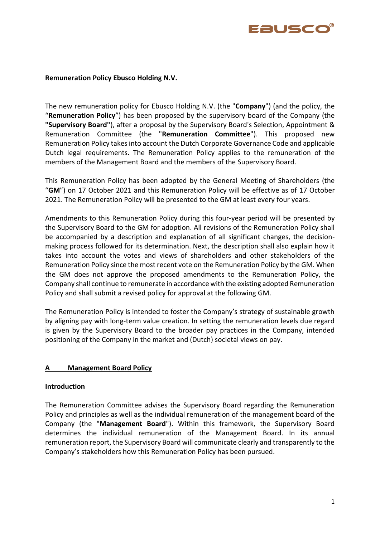

## **Remuneration Policy Ebusco Holding N.V.**

The new remuneration policy for Ebusco Holding N.V. (the "**Company**") (and the policy, the "**Remuneration Policy**") has been proposed by the supervisory board of the Company (the **"Supervisory Board"**), after a proposal by the Supervisory Board's Selection, Appointment & Remuneration Committee (the "**Remuneration Committee**"). This proposed new Remuneration Policy takes into account the Dutch Corporate Governance Code and applicable Dutch legal requirements. The Remuneration Policy applies to the remuneration of the members of the Management Board and the members of the Supervisory Board.

This Remuneration Policy has been adopted by the General Meeting of Shareholders (the "**GM**") on 17 October 2021 and this Remuneration Policy will be effective as of 17 October 2021. The Remuneration Policy will be presented to the GM at least every four years.

Amendments to this Remuneration Policy during this four-year period will be presented by the Supervisory Board to the GM for adoption. All revisions of the Remuneration Policy shall be accompanied by a description and explanation of all significant changes, the decisionmaking process followed for its determination. Next, the description shall also explain how it takes into account the votes and views of shareholders and other stakeholders of the Remuneration Policy since the most recent vote on the Remuneration Policy by the GM. When the GM does not approve the proposed amendments to the Remuneration Policy, the Company shall continue to remunerate in accordance with the existing adopted Remuneration Policy and shall submit a revised policy for approval at the following GM.

The Remuneration Policy is intended to foster the Company's strategy of sustainable growth by aligning pay with long-term value creation. In setting the remuneration levels due regard is given by the Supervisory Board to the broader pay practices in the Company, intended positioning of the Company in the market and (Dutch) societal views on pay.

# **A Management Board Policy**

## **Introduction**

The Remuneration Committee advises the Supervisory Board regarding the Remuneration Policy and principles as well as the individual remuneration of the management board of the Company (the "**Management Board**"). Within this framework, the Supervisory Board determines the individual remuneration of the Management Board. In its annual remuneration report, the Supervisory Board will communicate clearly and transparently to the Company's stakeholders how this Remuneration Policy has been pursued.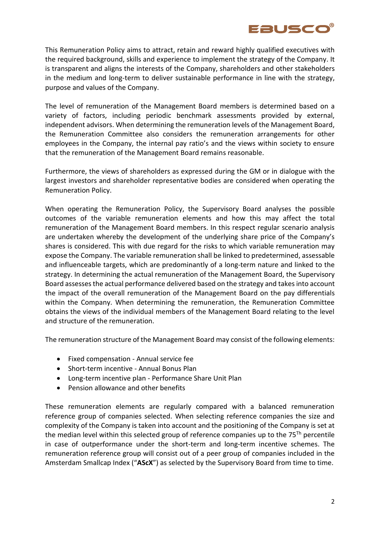

This Remuneration Policy aims to attract, retain and reward highly qualified executives with the required background, skills and experience to implement the strategy of the Company. It is transparent and aligns the interests of the Company, shareholders and other stakeholders in the medium and long-term to deliver sustainable performance in line with the strategy, purpose and values of the Company.

The level of remuneration of the Management Board members is determined based on a variety of factors, including periodic benchmark assessments provided by external, independent advisors. When determining the remuneration levels of the Management Board, the Remuneration Committee also considers the remuneration arrangements for other employees in the Company, the internal pay ratio's and the views within society to ensure that the remuneration of the Management Board remains reasonable.

Furthermore, the views of shareholders as expressed during the GM or in dialogue with the largest investors and shareholder representative bodies are considered when operating the Remuneration Policy.

When operating the Remuneration Policy, the Supervisory Board analyses the possible outcomes of the variable remuneration elements and how this may affect the total remuneration of the Management Board members. In this respect regular scenario analysis are undertaken whereby the development of the underlying share price of the Company's shares is considered. This with due regard for the risks to which variable remuneration may expose the Company. The variable remuneration shall be linked to predetermined, assessable and influenceable targets, which are predominantly of a long-term nature and linked to the strategy. In determining the actual remuneration of the Management Board, the Supervisory Board assesses the actual performance delivered based on the strategy and takes into account the impact of the overall remuneration of the Management Board on the pay differentials within the Company. When determining the remuneration, the Remuneration Committee obtains the views of the individual members of the Management Board relating to the level and structure of the remuneration.

The remuneration structure of the Management Board may consist of the following elements:

- Fixed compensation Annual service fee
- Short-term incentive Annual Bonus Plan
- Long-term incentive plan Performance Share Unit Plan
- Pension allowance and other benefits

These remuneration elements are regularly compared with a balanced remuneration reference group of companies selected. When selecting reference companies the size and complexity of the Company is taken into account and the positioning of the Company is set at the median level within this selected group of reference companies up to the  $75<sup>Th</sup>$  percentile in case of outperformance under the short-term and long-term incentive schemes. The remuneration reference group will consist out of a peer group of companies included in the Amsterdam Smallcap Index ("**AScX**") as selected by the Supervisory Board from time to time.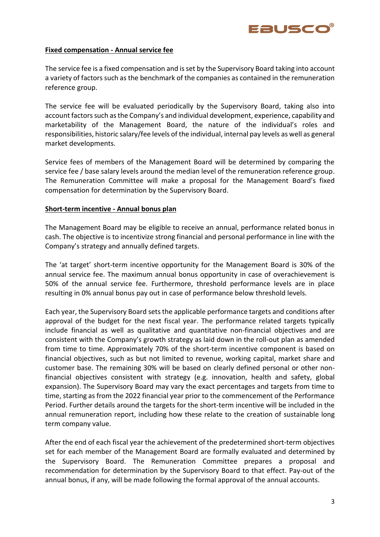

### **Fixed compensation - Annual service fee**

The service fee is a fixed compensation and is set by the Supervisory Board taking into account a variety of factors such as the benchmark of the companies as contained in the remuneration reference group.

The service fee will be evaluated periodically by the Supervisory Board, taking also into account factors such as the Company's and individual development, experience, capability and marketability of the Management Board, the nature of the individual's roles and responsibilities, historic salary/fee levels of the individual, internal pay levels as well as general market developments.

Service fees of members of the Management Board will be determined by comparing the service fee / base salary levels around the median level of the remuneration reference group. The Remuneration Committee will make a proposal for the Management Board's fixed compensation for determination by the Supervisory Board.

### **Short-term incentive - Annual bonus plan**

The Management Board may be eligible to receive an annual, performance related bonus in cash. The objective is to incentivize strong financial and personal performance in line with the Company's strategy and annually defined targets.

The 'at target' short-term incentive opportunity for the Management Board is 30% of the annual service fee. The maximum annual bonus opportunity in case of overachievement is 50% of the annual service fee. Furthermore, threshold performance levels are in place resulting in 0% annual bonus pay out in case of performance below threshold levels.

Each year, the Supervisory Board setsthe applicable performance targets and conditions after approval of the budget for the next fiscal year. The performance related targets typically include financial as well as qualitative and quantitative non-financial objectives and are consistent with the Company's growth strategy as laid down in the roll-out plan as amended from time to time. Approximately 70% of the short-term incentive component is based on financial objectives, such as but not limited to revenue, working capital, market share and customer base. The remaining 30% will be based on clearly defined personal or other nonfinancial objectives consistent with strategy (e.g. innovation, health and safety, global expansion). The Supervisory Board may vary the exact percentages and targets from time to time, starting as from the 2022 financial year prior to the commencement of the Performance Period. Further details around the targets for the short-term incentive will be included in the annual remuneration report, including how these relate to the creation of sustainable long term company value.

After the end of each fiscal year the achievement of the predetermined short-term objectives set for each member of the Management Board are formally evaluated and determined by the Supervisory Board. The Remuneration Committee prepares a proposal and recommendation for determination by the Supervisory Board to that effect. Pay-out of the annual bonus, if any, will be made following the formal approval of the annual accounts.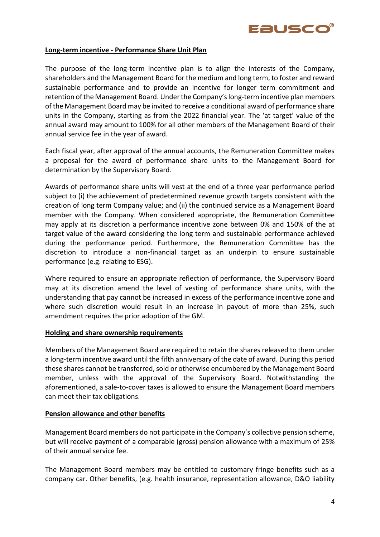

### **Long-term incentive - Performance Share Unit Plan**

The purpose of the long-term incentive plan is to align the interests of the Company, shareholders and the Management Board for the medium and long term, to foster and reward sustainable performance and to provide an incentive for longer term commitment and retention of the Management Board. Under the Company's long-term incentive plan members of the Management Board may be invited to receive a conditional award of performance share units in the Company, starting as from the 2022 financial year. The 'at target' value of the annual award may amount to 100% for all other members of the Management Board of their annual service fee in the year of award.

Each fiscal year, after approval of the annual accounts, the Remuneration Committee makes a proposal for the award of performance share units to the Management Board for determination by the Supervisory Board.

Awards of performance share units will vest at the end of a three year performance period subject to (i) the achievement of predetermined revenue growth targets consistent with the creation of long term Company value; and (ii) the continued service as a Management Board member with the Company. When considered appropriate, the Remuneration Committee may apply at its discretion a performance incentive zone between 0% and 150% of the at target value of the award considering the long term and sustainable performance achieved during the performance period. Furthermore, the Remuneration Committee has the discretion to introduce a non-financial target as an underpin to ensure sustainable performance (e.g. relating to ESG).

Where required to ensure an appropriate reflection of performance, the Supervisory Board may at its discretion amend the level of vesting of performance share units, with the understanding that pay cannot be increased in excess of the performance incentive zone and where such discretion would result in an increase in payout of more than 25%, such amendment requires the prior adoption of the GM.

#### **Holding and share ownership requirements**

Members of the Management Board are required to retain the shares released to them under a long-term incentive award until the fifth anniversary of the date of award. During this period these shares cannot be transferred, sold or otherwise encumbered by the Management Board member, unless with the approval of the Supervisory Board. Notwithstanding the aforementioned, a sale-to-cover taxes is allowed to ensure the Management Board members can meet their tax obligations.

## **Pension allowance and other benefits**

Management Board members do not participate in the Company's collective pension scheme, but will receive payment of a comparable (gross) pension allowance with a maximum of 25% of their annual service fee.

The Management Board members may be entitled to customary fringe benefits such as a company car. Other benefits, (e.g. health insurance, representation allowance, D&O liability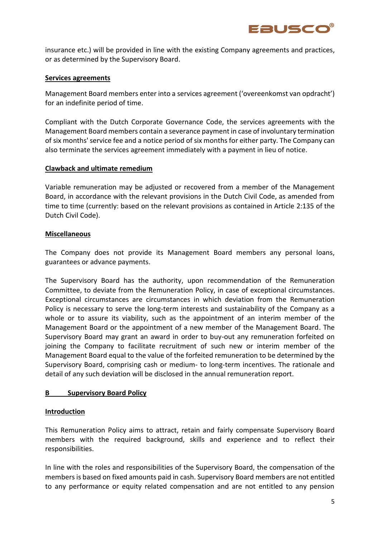

insurance etc.) will be provided in line with the existing Company agreements and practices, or as determined by the Supervisory Board.

### **Services agreements**

Management Board members enter into a services agreement ('overeenkomst van opdracht') for an indefinite period of time.

Compliant with the Dutch Corporate Governance Code, the services agreements with the Management Board members contain a severance payment in case of involuntary termination of six months' service fee and a notice period of six months for either party. The Company can also terminate the services agreement immediately with a payment in lieu of notice.

## **Clawback and ultimate remedium**

Variable remuneration may be adjusted or recovered from a member of the Management Board, in accordance with the relevant provisions in the Dutch Civil Code, as amended from time to time (currently: based on the relevant provisions as contained in Article 2:135 of the Dutch Civil Code).

## **Miscellaneous**

The Company does not provide its Management Board members any personal loans, guarantees or advance payments.

The Supervisory Board has the authority, upon recommendation of the Remuneration Committee, to deviate from the Remuneration Policy, in case of exceptional circumstances. Exceptional circumstances are circumstances in which deviation from the Remuneration Policy is necessary to serve the long-term interests and sustainability of the Company as a whole or to assure its viability, such as the appointment of an interim member of the Management Board or the appointment of a new member of the Management Board. The Supervisory Board may grant an award in order to buy-out any remuneration forfeited on joining the Company to facilitate recruitment of such new or interim member of the Management Board equal to the value of the forfeited remuneration to be determined by the Supervisory Board, comprising cash or medium- to long-term incentives. The rationale and detail of any such deviation will be disclosed in the annual remuneration report.

## **B Supervisory Board Policy**

#### **Introduction**

This Remuneration Policy aims to attract, retain and fairly compensate Supervisory Board members with the required background, skills and experience and to reflect their responsibilities.

In line with the roles and responsibilities of the Supervisory Board, the compensation of the members is based on fixed amounts paid in cash. Supervisory Board members are not entitled to any performance or equity related compensation and are not entitled to any pension